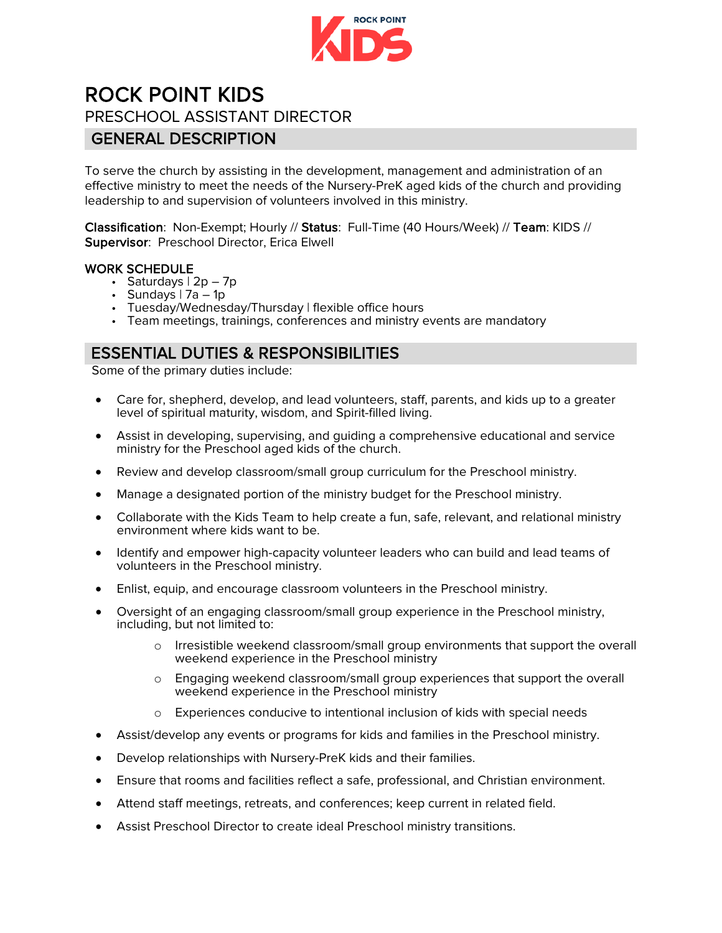

# **ROCK POINT KIDS**<br>PRESCHOOL ASSISTANT DIRECTOR

#### GENERAL DESCRIPTION

To serve the church by assisting in the development, management and administration of an effective ministry to meet the needs of the Nursery-PreK aged kids of the church and providing leadership to and supervision of volunteers involved in this ministry.

Classification: Non-Exempt; Hourly // Status: Full-Time (40 Hours/Week) // Team: KIDS // Supervisor: Preschool Director, Erica Elwell

- **WORK SCHEDULE**<br>• Saturdays  $| 2p 7p|$ 
	-
	- Sundays | 7a 1p<br>• Tuesday/Wednesday/Thursday | flexible office hours
	- Team meetings, trainings, conferences and ministry events are mandatory

#### ESSENTIAL DUTIES & RESPONSIBILITIES

Some of the primary duties include:

- Care for, shepherd, develop, and lead volunteers, staff, parents, and kids up to a greater level of spiritual maturity, wisdom, and Spirit-filled living.
- Assist in developing, supervising, and guiding a comprehensive educational and service ministry for the Preschool aged kids of the church.
- Review and develop classroom/small group curriculum for the Preschool ministry.
- Manage a designated portion of the ministry budget for the Preschool ministry.
- Collaborate with the Kids Team to help create a fun, safe, relevant, and relational ministry environment where kids want to be.
- Identify and empower high-capacity volunteer leaders who can build and lead teams of volunteers in the Preschool ministry.
- Enlist, equip, and encourage classroom volunteers in the Preschool ministry.
- Oversight of an engaging classroom/small group experience in the Preschool ministry, including, but not limited to:
	- o Irresistible weekend classroom/small group environments that support the overall weekend experience in the Preschool ministry
	- o Engaging weekend classroom/small group experiences that support the overall weekend experience in the Preschool ministry
	- o Experiences conducive to intentional inclusion of kids with special needs
- Assist/develop any events or programs for kids and families in the Preschool ministry.
- Develop relationships with Nursery-PreK kids and their families.
- Ensure that rooms and facilities reflect a safe, professional, and Christian environment.
- Attend staff meetings, retreats, and conferences; keep current in related field.
- Assist Preschool Director to create ideal Preschool ministry transitions.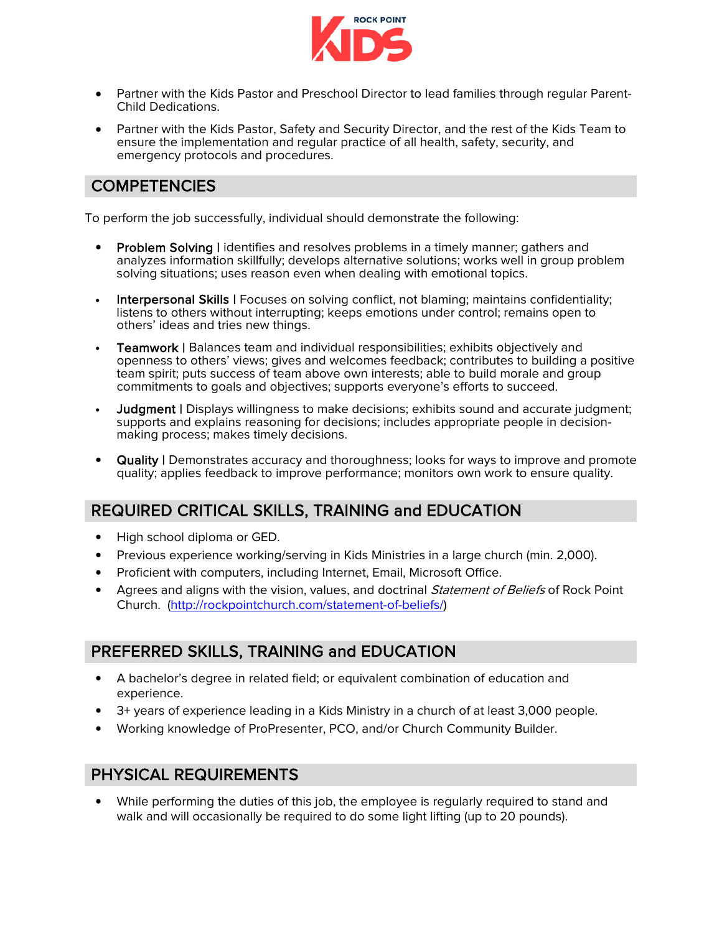

- Partner with the Kids Pastor and Preschool Director to lead families through regular Parent- Child Dedications.
- Partner with the Kids Pastor, Safety and Security Director, and the rest of the Kids Team to ensure the implementation and regular practice of all health, safety, security, and emergency protocols and procedures.

### **COMPETENCIES**

To perform the job successfully, individual should demonstrate the following:

- **Problem Solving | identifies and resolves problems in a timely manner; gathers and** analyzes information skillfully; develops alternative solutions; works well in group problem solving situations; uses reason even when dealing with emotional topics.
- Interpersonal Skills | Focuses on solving conflict, not blaming; maintains confidentiality; listens to others without interrupting; keeps emotions under control; remains open to others' ideas and tries new things.
- Teamwork | Balances team and individual responsibilities; exhibits objectively and openness to others' views; gives and welcomes feedback; contributes to building a positive team spirit; puts success of team above own interests; able to build morale and group commitments to goals and objectives; supports everyone's efforts to succeed.
- Judgment | Displays willingness to make decisions; exhibits sound and accurate judgment; supports and explains reasoning for decisions; includes appropriate people in decision- making process; makes timely decisions.
- Quality | Demonstrates accuracy and thoroughness; looks for ways to improve and promote quality; applies feedback to improve performance; monitors own work to ensure quality.

### REQUIRED CRITICAL SKILLS, TRAINING and EDUCATION

- High school diploma or GED.
- Previous experience working/serving in Kids Ministries in a large church (min. 2,000).
- Proficient with computers, including Internet, Email, Microsoft Office.
- Agrees and aligns with the vision, values, and doctrinal *Statement of Beliefs* of Rock Point Church. [\(http://rockpointchurch.com/statement-of-beliefs/\)](http://rockpointchurch.com/statement-of-beliefs/)

#### PREFERRED SKILLS, TRAINING and EDUCATION

- A bachelor's degree in related field; or equivalent combination of education and experience.
- 3+ years of experience leading in a Kids Ministry in a church of at least 3,000 people.
- Working knowledge of ProPresenter, PCO, and/or Church Community Builder.

#### PHYSICAL REQUIREMENTS

• While performing the duties of this job, the employee is regularly required to stand and walk and will occasionally be required to do some light lifting (up to 20 pounds).